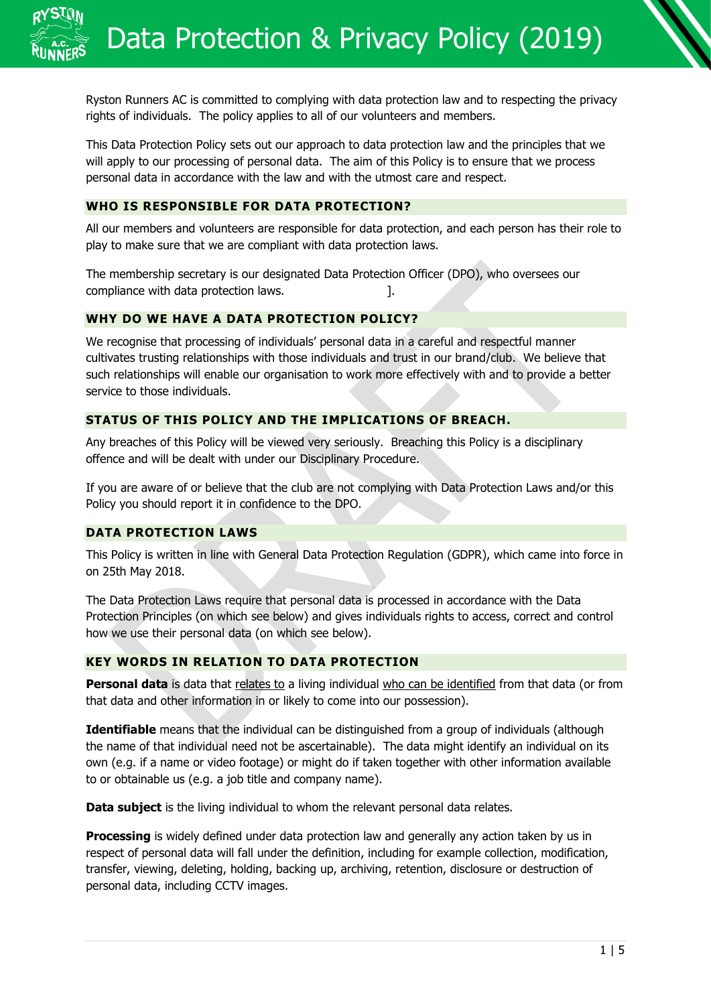Ryston Runners AC is committed to complying with data protection law and to respecting the privacy rights of individuals. The policy applies to all of our volunteers and members.

This Data Protection Policy sets out our approach to data protection law and the principles that we will apply to our processing of personal data. The aim of this Policy is to ensure that we process personal data in accordance with the law and with the utmost care and respect.

## **WHO IS RESPONSIBLE FOR DATA PROTECTION?**

All our members and volunteers are responsible for data protection, and each person has their role to play to make sure that we are compliant with data protection laws.

The membership secretary is our designated Data Protection Officer (DPO), who oversees our compliance with data protection laws.

## **WHY DO WE HAVE A DATA PROTECTION POLICY?**

We recognise that processing of individuals' personal data in a careful and respectful manner cultivates trusting relationships with those individuals and trust in our brand/club. We believe that such relationships will enable our organisation to work more effectively with and to provide a better service to those individuals.

# **STATUS OF THIS POLICY AND THE IMPLICATIONS OF BREACH.**

Any breaches of this Policy will be viewed very seriously. Breaching this Policy is a disciplinary offence and will be dealt with under our Disciplinary Procedure.

If you are aware of or believe that the club are not complying with Data Protection Laws and/or this Policy you should report it in confidence to the DPO.

# **DATA PROTECTION LAWS**

This Policy is written in line with General Data Protection Regulation (GDPR), which came into force in on 25th May 2018.

The Data Protection Laws require that personal data is processed in accordance with the Data Protection Principles (on which see below) and gives individuals rights to access, correct and control how we use their personal data (on which see below).

## **KEY WORDS IN RELATION TO DATA PROTECTION**

Personal data is data that relates to a living individual who can be identified from that data (or from that data and other information in or likely to come into our possession).

**Identifiable** means that the individual can be distinguished from a group of individuals (although the name of that individual need not be ascertainable). The data might identify an individual on its own (e.g. if a name or video footage) or might do if taken together with other information available to or obtainable us (e.g. a job title and company name).

**Data subject** is the living individual to whom the relevant personal data relates.

**Processing** is widely defined under data protection law and generally any action taken by us in respect of personal data will fall under the definition, including for example collection, modification, transfer, viewing, deleting, holding, backing up, archiving, retention, disclosure or destruction of personal data, including CCTV images.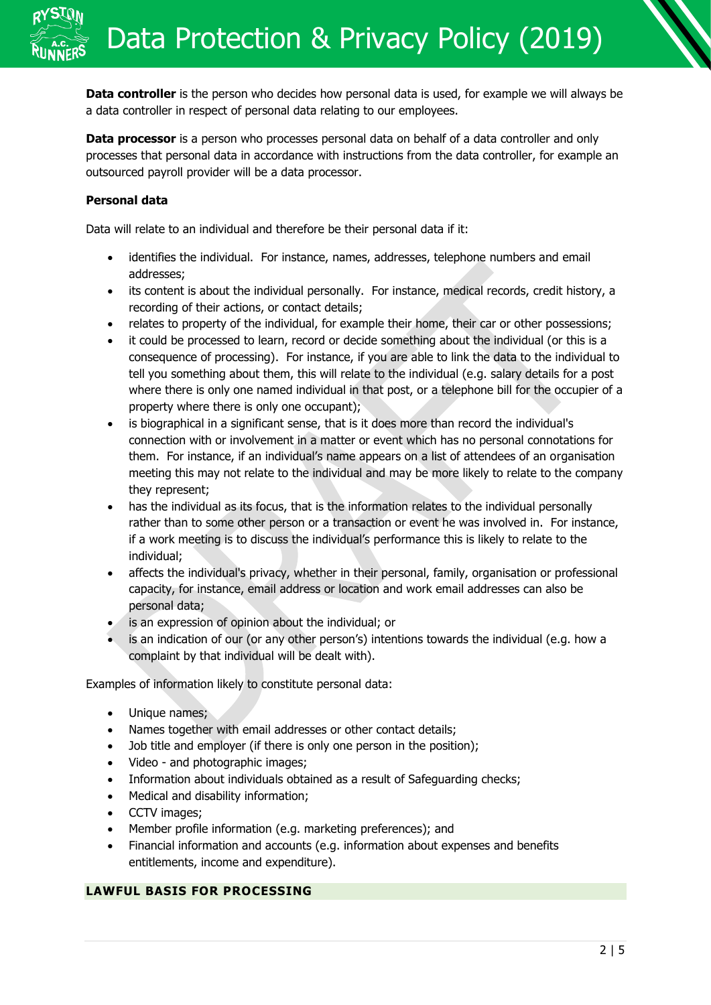**Data controller** is the person who decides how personal data is used, for example we will always be a data controller in respect of personal data relating to our employees.

**Data processor** is a person who processes personal data on behalf of a data controller and only processes that personal data in accordance with instructions from the data controller, for example an outsourced payroll provider will be a data processor.

## **Personal data**

Data will relate to an individual and therefore be their personal data if it:

- identifies the individual. For instance, names, addresses, telephone numbers and email addresses;
- its content is about the individual personally. For instance, medical records, credit history, a recording of their actions, or contact details;
- relates to property of the individual, for example their home, their car or other possessions;
- it could be processed to learn, record or decide something about the individual (or this is a consequence of processing). For instance, if you are able to link the data to the individual to tell you something about them, this will relate to the individual (e.g. salary details for a post where there is only one named individual in that post, or a telephone bill for the occupier of a property where there is only one occupant);
- is biographical in a significant sense, that is it does more than record the individual's connection with or involvement in a matter or event which has no personal connotations for them. For instance, if an individual's name appears on a list of attendees of an organisation meeting this may not relate to the individual and may be more likely to relate to the company they represent;
- has the individual as its focus, that is the information relates to the individual personally rather than to some other person or a transaction or event he was involved in. For instance, if a work meeting is to discuss the individual's performance this is likely to relate to the individual;
- affects the individual's privacy, whether in their personal, family, organisation or professional capacity, for instance, email address or location and work email addresses can also be personal data;
- is an expression of opinion about the individual; or
- is an indication of our (or any other person's) intentions towards the individual (e.g. how a complaint by that individual will be dealt with).

Examples of information likely to constitute personal data:

- Unique names;
- Names together with email addresses or other contact details;
- Job title and employer (if there is only one person in the position);
- Video and photographic images;
- Information about individuals obtained as a result of Safeguarding checks;
- Medical and disability information;
- CCTV images;
- Member profile information (e.g. marketing preferences); and
- Financial information and accounts (e.g. information about expenses and benefits entitlements, income and expenditure).

#### **LAWFUL BASIS FOR PROCESSING**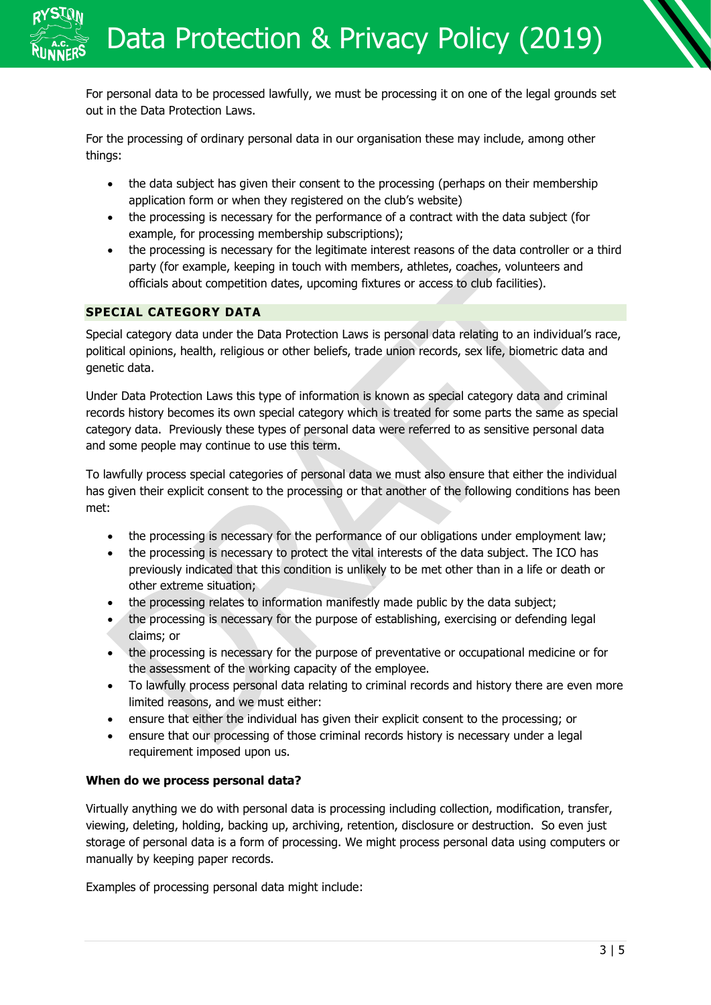For personal data to be processed lawfully, we must be processing it on one of the legal grounds set out in the Data Protection Laws.

For the processing of ordinary personal data in our organisation these may include, among other things:

- the data subject has given their consent to the processing (perhaps on their membership application form or when they registered on the club's website)
- the processing is necessary for the performance of a contract with the data subject (for example, for processing membership subscriptions);
- the processing is necessary for the legitimate interest reasons of the data controller or a third party (for example, keeping in touch with members, athletes, coaches, volunteers and officials about competition dates, upcoming fixtures or access to club facilities).

# **SPECIAL CATEGORY DATA**

Special category data under the Data Protection Laws is personal data relating to an individual's race, political opinions, health, religious or other beliefs, trade union records, sex life, biometric data and genetic data.

Under Data Protection Laws this type of information is known as special category data and criminal records history becomes its own special category which is treated for some parts the same as special category data. Previously these types of personal data were referred to as sensitive personal data and some people may continue to use this term.

To lawfully process special categories of personal data we must also ensure that either the individual has given their explicit consent to the processing or that another of the following conditions has been met:

- the processing is necessary for the performance of our obligations under employment law;
- the processing is necessary to protect the vital interests of the data subject. The ICO has previously indicated that this condition is unlikely to be met other than in a life or death or other extreme situation;
- the processing relates to information manifestly made public by the data subject;
- the processing is necessary for the purpose of establishing, exercising or defending legal claims; or
- the processing is necessary for the purpose of preventative or occupational medicine or for the assessment of the working capacity of the employee.
- To lawfully process personal data relating to criminal records and history there are even more limited reasons, and we must either:
- ensure that either the individual has given their explicit consent to the processing; or
- ensure that our processing of those criminal records history is necessary under a legal requirement imposed upon us.

## **When do we process personal data?**

Virtually anything we do with personal data is processing including collection, modification, transfer, viewing, deleting, holding, backing up, archiving, retention, disclosure or destruction. So even just storage of personal data is a form of processing. We might process personal data using computers or manually by keeping paper records.

Examples of processing personal data might include: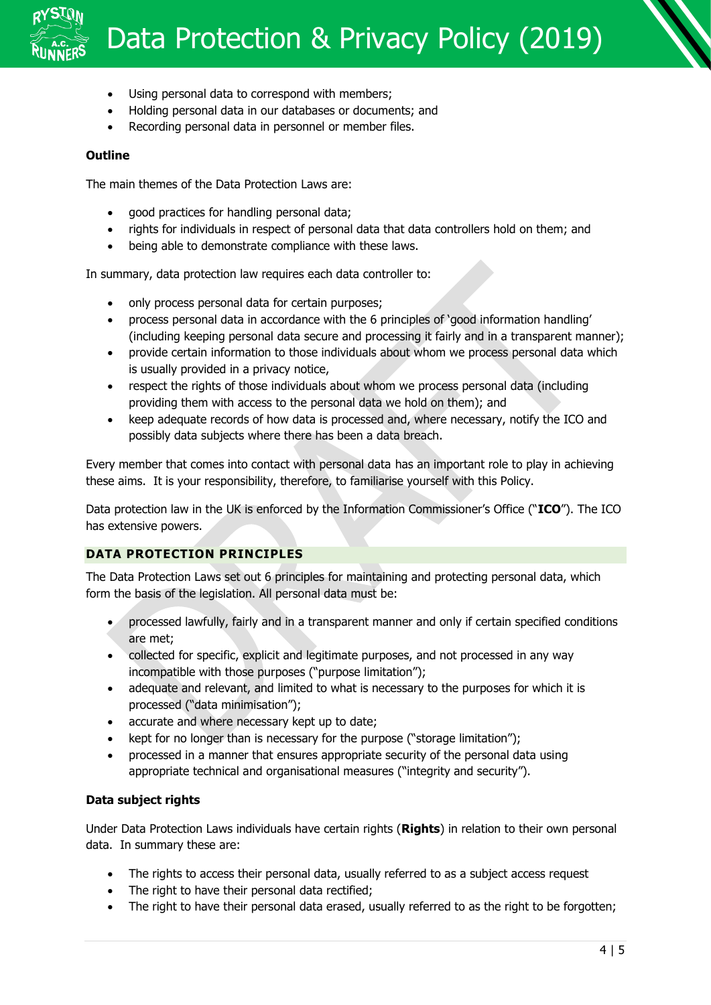# Data Protection & Privacy Policy (2019)

- Using personal data to correspond with members;
- Holding personal data in our databases or documents; and
- Recording personal data in personnel or member files.

#### **Outline**

The main themes of the Data Protection Laws are:

- good practices for handling personal data;
- rights for individuals in respect of personal data that data controllers hold on them; and
- being able to demonstrate compliance with these laws.

In summary, data protection law requires each data controller to:

- only process personal data for certain purposes;
- process personal data in accordance with the 6 principles of 'good information handling' (including keeping personal data secure and processing it fairly and in a transparent manner);
- provide certain information to those individuals about whom we process personal data which is usually provided in a privacy notice,
- respect the rights of those individuals about whom we process personal data (including providing them with access to the personal data we hold on them); and
- keep adequate records of how data is processed and, where necessary, notify the ICO and possibly data subjects where there has been a data breach.

Every member that comes into contact with personal data has an important role to play in achieving these aims. It is your responsibility, therefore, to familiarise yourself with this Policy.

Data protection law in the UK is enforced by the Information Commissioner's Office ("**ICO**"). The ICO has extensive powers.

## **DATA PROTECTION PRINCIPLES**

The Data Protection Laws set out 6 principles for maintaining and protecting personal data, which form the basis of the legislation. All personal data must be:

- processed lawfully, fairly and in a transparent manner and only if certain specified conditions are met;
- collected for specific, explicit and legitimate purposes, and not processed in any way incompatible with those purposes ("purpose limitation");
- adequate and relevant, and limited to what is necessary to the purposes for which it is processed ("data minimisation");
- accurate and where necessary kept up to date;
- kept for no longer than is necessary for the purpose ("storage limitation");
- processed in a manner that ensures appropriate security of the personal data using appropriate technical and organisational measures ("integrity and security").

## **Data subject rights**

Under Data Protection Laws individuals have certain rights (**Rights**) in relation to their own personal data. In summary these are:

- The rights to access their personal data, usually referred to as a subject access request
- The right to have their personal data rectified;
- The right to have their personal data erased, usually referred to as the right to be forgotten;